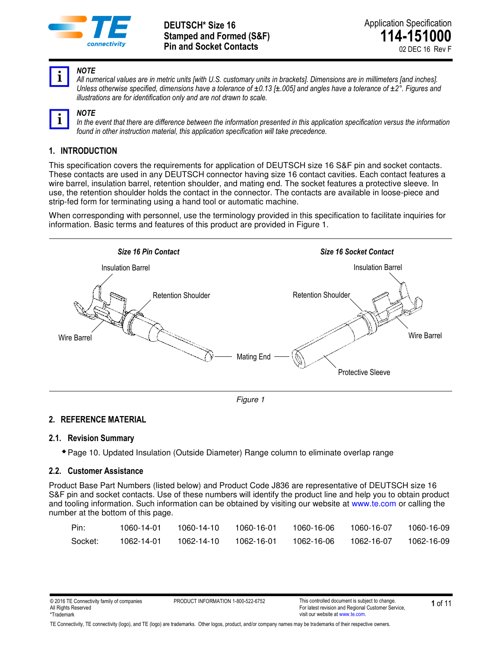



#### *NOTE*

*All numerical values are in metric units [with U.S. customary units in brackets]. Dimensions are in millimeters [and inches]. Unless otherwise specified, dimensions have a tolerance of ±0.13 [±.005] and angles have a tolerance of ±2°. Figures and illustrations are for identification only and are not drawn to scale.*

| 7<br>I<br>۱ |  |
|-------------|--|
|             |  |

*NOTE In the event that there are difference between the information presented in this application specification versus the information found in other instruction material, this application specification will take precedence.* 

# **1. INTRODUCTION**

This specification covers the requirements for application of DEUTSCH size 16 S&F pin and socket contacts. These contacts are used in any DEUTSCH connector having size 16 contact cavities. Each contact features a wire barrel, insulation barrel, retention shoulder, and mating end. The socket features a protective sleeve. In use, the retention shoulder holds the contact in the connector. The contacts are available in loose-piece and strip-fed form for terminating using a hand tool or automatic machine.

When corresponding with personnel, use the terminology provided in this specification to facilitate inquiries for information. Basic terms and features of this product are provided in Figure 1.



*Figure 1* 

### **2. REFERENCE MATERIAL**

### **2.1. Revision Summary**

Page 10. Updated Insulation (Outside Diameter) Range column to eliminate overlap range

### **2.2. Customer Assistance**

Product Base Part Numbers (listed below) and Product Code J836 are representative of DEUTSCH size 16 S&F pin and socket contacts. Use of these numbers will identify the product line and help you to obtain product and tooling information. Such information can be obtained by visiting our website at [www.te.com](http://www.te.com/) or calling the number at the bottom of this page.

| Pin:    | 1060-14-01 | 1060-14-10 | 1060-16-01 | 1060-16-06 | 1060-16-07 | 1060-16-09 |
|---------|------------|------------|------------|------------|------------|------------|
| Socket: | 1062-14-01 | 1062-14-10 | 1062-16-01 | 1062-16-06 | 1062-16-07 | 1062-16-09 |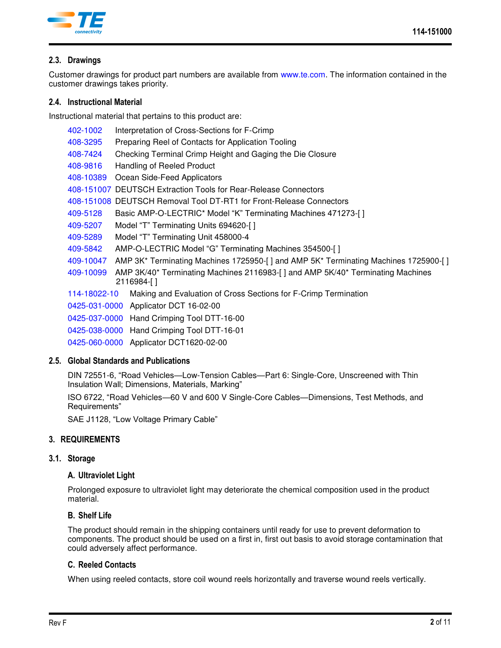

# **2.3. Drawings**

Customer drawings for product part numbers are available from [www.te.com.](http://www.te.com/) The information contained in the customer drawings takes priority.

### **2.4. Instructional Material**

Instructional material that pertains to this product are:

| 402-1002     | Interpretation of Cross-Sections for F-Crimp                                                 |
|--------------|----------------------------------------------------------------------------------------------|
| 408-3295     | Preparing Reel of Contacts for Application Tooling                                           |
| 408-7424     | Checking Terminal Crimp Height and Gaging the Die Closure                                    |
| 408-9816     | Handling of Reeled Product                                                                   |
| 408-10389    | Ocean Side-Feed Applicators                                                                  |
|              | 408-151007 DEUTSCH Extraction Tools for Rear-Release Connectors                              |
|              | 408-151008 DEUTSCH Removal Tool DT-RT1 for Front-Release Connectors                          |
| 409-5128     | Basic AMP-O-LECTRIC* Model "K" Terminating Machines 471273-[]                                |
| 409-5207     | Model "T" Terminating Units 694620-[]                                                        |
| 409-5289     | Model "T" Terminating Unit 458000-4                                                          |
| 409-5842     | AMP-O-LECTRIC Model "G" Terminating Machines 354500-[]                                       |
| 409-10047    | AMP 3K* Terminating Machines 1725950-[] and AMP 5K* Terminating Machines 1725900-[]          |
| 409-10099    | AMP 3K/40* Terminating Machines 2116983-[] and AMP 5K/40* Terminating Machines<br>2116984-[] |
| 114-18022-10 | Making and Evaluation of Cross Sections for F-Crimp Termination                              |
|              | 0425-031-0000 Applicator DCT 16-02-00                                                        |
|              | 0425-037-0000 Hand Crimping Tool DTT-16-00                                                   |
|              | 0425-038-0000 Hand Crimping Tool DTT-16-01                                                   |
|              |                                                                                              |

[0425-060-0000](http://www.te.com/commerce/DocumentDelivery/DDEController?Action=srchrtrv&DocNm=0425-060-0000&DocType=SS) Applicator DCT1620-02-00

### **2.5. Global Standards and Publications**

DIN 72551-6, "Road Vehicles—Low-Tension Cables—Part 6: Single-Core, Unscreened with Thin Insulation Wall; Dimensions, Materials, Marking"

ISO 6722, "Road Vehicles—60 V and 600 V Single-Core Cables—Dimensions, Test Methods, and Requirements"

SAE J1128, "Low Voltage Primary Cable"

# **3. REQUIREMENTS**

### **3.1. Storage**

### **A. Ultraviolet Light**

Prolonged exposure to ultraviolet light may deteriorate the chemical composition used in the product material.

### **B. Shelf Life**

The product should remain in the shipping containers until ready for use to prevent deformation to components. The product should be used on a first in, first out basis to avoid storage contamination that could adversely affect performance.

### **C. Reeled Contacts**

When using reeled contacts, store coil wound reels horizontally and traverse wound reels vertically.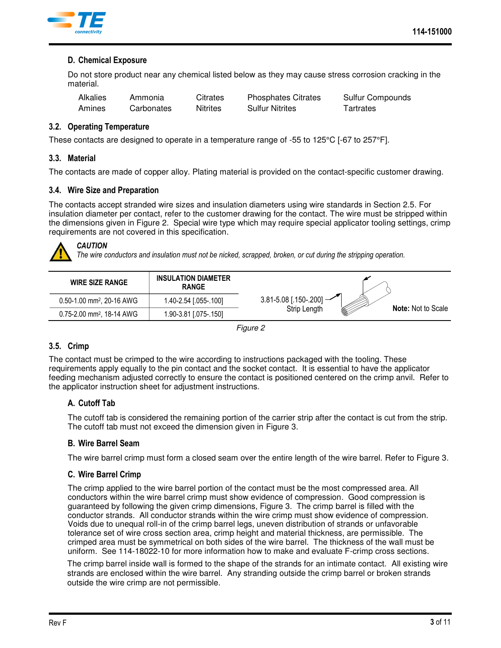

### **D. Chemical Exposure**

Do not store product near any chemical listed below as they may cause stress corrosion cracking in the material.

| Alkalies | Ammonia    | Citrates | <b>Phosphates Citrates</b> | <b>Sulfur Compounds</b> |
|----------|------------|----------|----------------------------|-------------------------|
| Amines   | Carbonates | Nitrites | <b>Sulfur Nitrites</b>     | Tartrates               |

#### **3.2. Operating Temperature**

These contacts are designed to operate in a temperature range of -55 to 125°C [-67 to 257°F].

#### **3.3. Material**

The contacts are made of copper alloy. Plating material is provided on the contact-specific customer drawing.

#### **3.4. Wire Size and Preparation**

The contacts accept stranded wire sizes and insulation diameters using wire standards in Section 2.5. For insulation diameter per contact, refer to the customer drawing for the contact. The wire must be stripped within the dimensions given in [Figure 2.](#page-2-0) Special wire type which may require special applicator tooling settings, crimp requirements are not covered in this specification.



# *CAUTION*

*The wire conductors and insulation must not be nicked, scrapped, broken, or cut during the stripping operation.* 



<span id="page-2-0"></span>

### **3.5. Crimp**

The contact must be crimped to the wire according to instructions packaged with the tooling. These requirements apply equally to the pin contact and the socket contact. It is essential to have the applicator feeding mechanism adjusted correctly to ensure the contact is positioned centered on the crimp anvil. Refer to the applicator instruction sheet for adjustment instructions.

### **A. Cutoff Tab**

The cutoff tab is considered the remaining portion of the carrier strip after the contact is cut from the strip. The cutoff tab must not exceed the dimension given in [Figure 3.](#page-4-0)

#### **B. Wire Barrel Seam**

The wire barrel crimp must form a closed seam over the entire length of the wire barrel. Refer to [Figure 3.](#page-4-0)

### **C. Wire Barrel Crimp**

The crimp applied to the wire barrel portion of the contact must be the most compressed area. All conductors within the wire barrel crimp must show evidence of compression. Good compression is guaranteed by following the given crimp dimensions, Figure 3. The crimp barrel is filled with the conductor strands. All conductor strands within the wire crimp must show evidence of compression. Voids due to unequal roll-in of the crimp barrel legs, uneven distribution of strands or unfavorable tolerance set of wire cross section area, crimp height and material thickness, are permissible. The crimped area must be symmetrical on both sides of the wire barrel. The thickness of the wall must be uniform. See 114-18022-10 for more information how to make and evaluate F-crimp cross sections.

The crimp barrel inside wall is formed to the shape of the strands for an intimate contact. All existing wire strands are enclosed within the wire barrel. Any stranding outside the crimp barrel or broken strands outside the wire crimp are not permissible.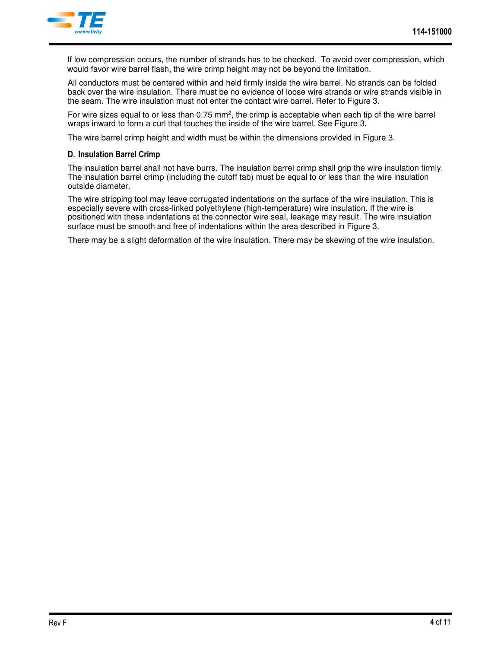

If low compression occurs, the number of strands has to be checked. To avoid over compression, which would favor wire barrel flash, the wire crimp height may not be beyond the limitation.

All conductors must be centered within and held firmly inside the wire barrel. No strands can be folded back over the wire insulation. There must be no evidence of loose wire strands or wire strands visible in the seam. The wire insulation must not enter the contact wire barrel. Refer to [Figure 3.](#page-4-0)

For wire sizes equal to or less than  $0.75$  mm<sup>2</sup>, the crimp is acceptable when each tip of the wire barrel wraps inward to form a curl that touches the inside of the wire barrel. See [Figure 3.](#page-4-0)

The wire barrel crimp height and width must be within the dimensions provided in [Figure 3.](#page-4-0)

### **D. Insulation Barrel Crimp**

The insulation barrel shall not have burrs. The insulation barrel crimp shall grip the wire insulation firmly. The insulation barrel crimp (including the cutoff tab) must be equal to or less than the wire insulation outside diameter.

The wire stripping tool may leave corrugated indentations on the surface of the wire insulation. This is especially severe with cross-linked polyethylene (high-temperature) wire insulation. If the wire is positioned with these indentations at the connector wire seal, leakage may result. The wire insulation surface must be smooth and free of indentations within the area described in [Figure 3.](#page-4-0)

There may be a slight deformation of the wire insulation. There may be skewing of the wire insulation.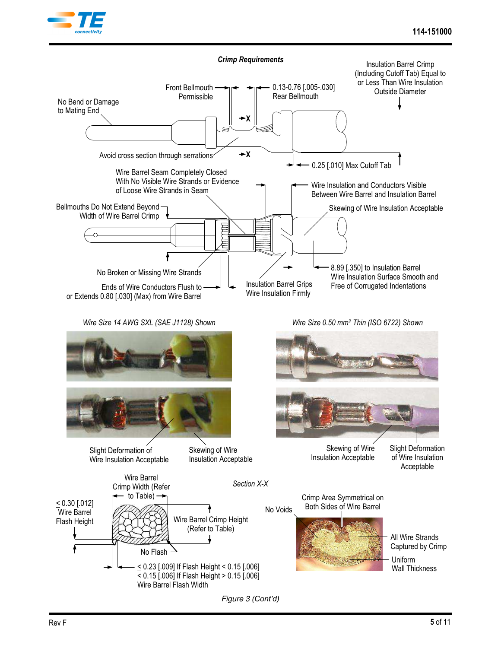



<span id="page-4-0"></span>*Figure 3 (Cont'd)*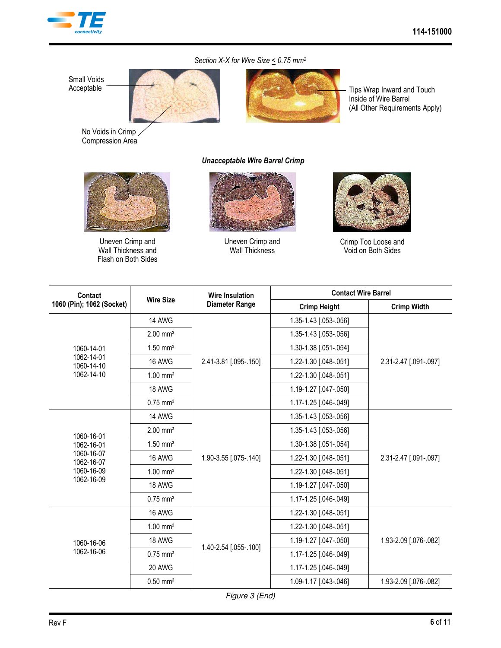

### Section X-X for Wire Size  $\leq$  0.75 mm<sup>2</sup>





Tips Wrap Inward and Touch Inside of Wire Barrel (All Other Requirements Apply)

No Voids in Crimp Compression Area



Uneven Crimp and Wall Thickness and Flash on Both Sides

#### *Unacceptable Wire Barrel Crimp*



Uneven Crimp and Wall Thickness



Crimp Too Loose and Void on Both Sides

| Contact                   | <b>Wire Size</b>       | <b>Wire Insulation</b> | <b>Contact Wire Barrel</b> |                       |  |
|---------------------------|------------------------|------------------------|----------------------------|-----------------------|--|
| 1060 (Pin); 1062 (Socket) |                        | <b>Diameter Range</b>  | <b>Crimp Height</b>        | <b>Crimp Width</b>    |  |
|                           | 14 AWG                 |                        | 1.35-1.43 [.053-.056]      |                       |  |
|                           | $2.00$ mm <sup>2</sup> |                        | 1.35-1.43 [.053-.056]      |                       |  |
| 1060-14-01                | $1.50$ mm <sup>2</sup> |                        | 1.30-1.38 [.051-.054]      |                       |  |
| 1062-14-01<br>1060-14-10  | 16 AWG                 | 2.41-3.81 [.095-.150]  | 1.22-1.30 [.048-.051]      | 2.31-2.47 [.091-.097] |  |
| 1062-14-10                | $1.00$ mm <sup>2</sup> |                        | 1.22-1.30 [.048-.051]      |                       |  |
|                           | 18 AWG                 |                        | 1.19-1.27 [.047-.050]      |                       |  |
|                           | $0.75$ mm <sup>2</sup> |                        | 1.17-1.25 [.046-.049]      |                       |  |
|                           | <b>14 AWG</b>          |                        | 1.35-1.43 [.053-.056]      |                       |  |
| 1060-16-01                | $2.00$ mm <sup>2</sup> |                        | 1.35-1.43 [.053-.056]      |                       |  |
| 1062-16-01                | $1.50$ mm <sup>2</sup> |                        | 1.30-1.38 [.051-.054]      |                       |  |
| 1060-16-07<br>1062-16-07  | 16 AWG                 | 1.90-3.55 [.075-.140]  | 1.22-1.30 [.048-.051]      | 2.31-2.47 [.091-.097] |  |
| 1060-16-09                | $1.00$ mm <sup>2</sup> |                        | 1.22-1.30 [.048-.051]      |                       |  |
| 1062-16-09                | <b>18 AWG</b>          |                        | 1.19-1.27 [.047-.050]      |                       |  |
|                           | $0.75$ mm <sup>2</sup> |                        | 1.17-1.25 [.046-.049]      |                       |  |
|                           | 16 AWG                 |                        | 1.22-1.30 [.048-.051]      |                       |  |
|                           | $1.00 \text{ mm}^2$    |                        | 1.22-1.30 [.048-.051]      |                       |  |
| 1060-16-06                | 18 AWG                 |                        | 1.19-1.27 [.047-.050]      | 1.93-2.09 [.076-.082] |  |
| 1062-16-06                | $0.75$ mm <sup>2</sup> | 1.40-2.54 [.055-.100]  | 1.17-1.25 [.046-.049]      |                       |  |
|                           | 20 AWG                 |                        | 1.17-1.25 [.046-.049]      |                       |  |
|                           | $0.50$ mm <sup>2</sup> |                        | 1.09-1.17 [.043-.046]      | 1.93-2.09 [.076-.082] |  |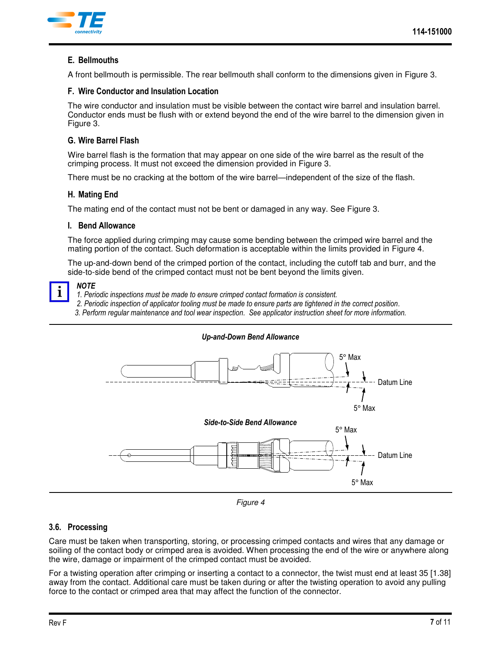

# **E. Bellmouths**

A front bellmouth is permissible. The rear bellmouth shall conform to the dimensions given in [Figure 3.](#page-4-0)

### **F. Wire Conductor and Insulation Location**

The wire conductor and insulation must be visible between the contact wire barrel and insulation barrel. Conductor ends must be flush with or extend beyond the end of the wire barrel to the dimension given in [Figure 3.](#page-4-0)

## **G. Wire Barrel Flash**

Wire barrel flash is the formation that may appear on one side of the wire barrel as the result of the crimping process. It must not exceed the dimension provided in [Figure 3.](#page-4-0)

There must be no cracking at the bottom of the wire barrel—independent of the size of the flash.

### **H. Mating End**

The mating end of the contact must not be bent or damaged in any way. See [Figure 3.](#page-4-0)

### **I. Bend Allowance**

The force applied during crimping may cause some bending between the crimped wire barrel and the mating portion of the contact. Such deformation is acceptable within the limits provided in [Figure 4.](#page-6-0)

The up-and-down bend of the crimped portion of the contact, including the cutoff tab and burr, and the side-to-side bend of the crimped contact must not be bent beyond the limits given.

### *NOTE*

- *1. Periodic inspections must be made to ensure crimped contact formation is consistent.*
- *2. Periodic inspection of applicator tooling must be made to ensure parts are tightened in the correct position.*
- *3. Perform regular maintenance and tool wear inspection. See applicator instruction sheet for more information.*



<span id="page-6-0"></span>*Figure 4* 

# **3.6. Processing**

Care must be taken when transporting, storing, or processing crimped contacts and wires that any damage or soiling of the contact body or crimped area is avoided. When processing the end of the wire or anywhere along the wire, damage or impairment of the crimped contact must be avoided.

For a twisting operation after crimping or inserting a contact to a connector, the twist must end at least 35 [1.38] away from the contact. Additional care must be taken during or after the twisting operation to avoid any pulling force to the contact or crimped area that may affect the function of the connector.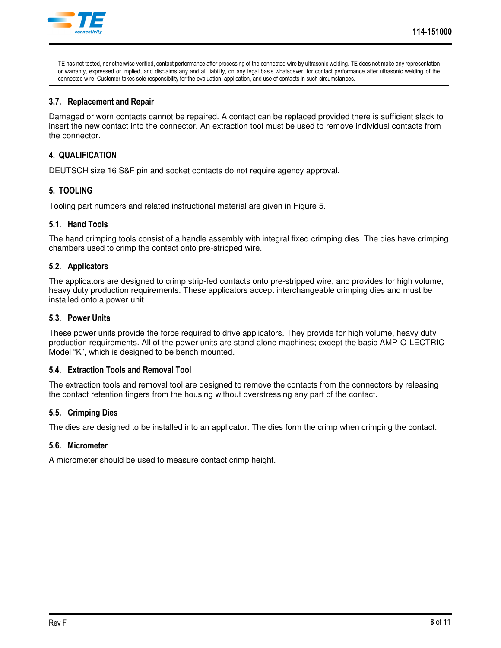

TE has not tested, nor otherwise verified, contact performance after processing of the connected wire by ultrasonic welding. TE does not make any representation or warranty, expressed or implied, and disclaims any and all liability, on any legal basis whatsoever, for contact performance after ultrasonic welding of the connected wire. Customer takes sole responsibility for the evaluation, application, and use of contacts in such circumstances.

### **3.7. Replacement and Repair**

Damaged or worn contacts cannot be repaired. A contact can be replaced provided there is sufficient slack to insert the new contact into the connector. An extraction tool must be used to remove individual contacts from the connector.

## **4. QUALIFICATION**

DEUTSCH size 16 S&F pin and socket contacts do not require agency approval.

### **5. TOOLING**

Tooling part numbers and related instructional material are given in [Figure 5.](#page-8-0)

#### **5.1. Hand Tools**

The hand crimping tools consist of a handle assembly with integral fixed crimping dies. The dies have crimping chambers used to crimp the contact onto pre-stripped wire.

#### **5.2. Applicators**

The applicators are designed to crimp strip-fed contacts onto pre-stripped wire, and provides for high volume, heavy duty production requirements. These applicators accept interchangeable crimping dies and must be installed onto a power unit.

### **5.3. Power Units**

These power units provide the force required to drive applicators. They provide for high volume, heavy duty production requirements. All of the power units are stand-alone machines; except the basic AMP-O-LECTRIC Model "K", which is designed to be bench mounted.

### **5.4. Extraction Tools and Removal Tool**

The extraction tools and removal tool are designed to remove the contacts from the connectors by releasing the contact retention fingers from the housing without overstressing any part of the contact.

### **5.5. Crimping Dies**

The dies are designed to be installed into an applicator. The dies form the crimp when crimping the contact.

#### **5.6. Micrometer**

A micrometer should be used to measure contact crimp height.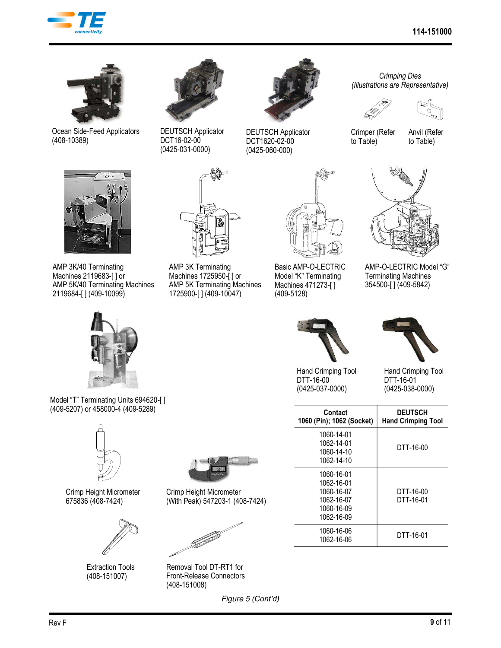



Ocean Side-Feed Applicators (408-10389)



DEUTSCH Applicator DCT16-02-00 (0425-031-0000)



DEUTSCH Applicator DCT1620-02-00 (0425-060-000)

*Crimping Dies (Illustrations are Representative)* 





Crimper (Refer to Table)

Anvil (Refer to Table)



AMP 3K/40 Terminating Machines 2119683-[ ] or AMP 5K/40 Terminating Machines 2119684-[ ] (409-10099)



Model "T" Terminating Units 694620-[ ] (409-5207) or 458000-4 (409-5289)



Crimp Height Micrometer 675836 (408-7424)



Extraction Tools (408-151007)



AMP 3K Terminating Machines 1725950-[ ] or AMP 5K Terminating Machines 1725900-[ ] (409-10047)



Basic AMP-O-LECTRIC Model "K" Terminating Machines 471273-[ ] (409-5128)



Hand Crimping Tool DTT-16-00 (0425-037-0000)



AMP-O-LECTRIC Model "G" Terminating Machines 354500-[ ] (409-5842)



Hand Crimping Tool DTT-16-01 (0425-038-0000)

| Contact<br>1060 (Pin); 1062 (Socket)                                             | <b>DEUTSCH</b><br><b>Hand Crimping Tool</b> |
|----------------------------------------------------------------------------------|---------------------------------------------|
| 1060-14-01<br>1062-14-01<br>1060-14-10<br>1062-14-10                             | DTT-16-00                                   |
| 1060-16-01<br>1062-16-01<br>1060-16-07<br>1062-16-07<br>1060-16-09<br>1062-16-09 | DTT-16-00<br>DTT-16-01                      |
| 1060-16-06<br>1062-16-06                                                         | DTT-16-01                                   |

Removal Tool DT-RT1 for Front-Release Connectors (408-151008)

Crimp Height Micrometer (With Peak) 547203-1 (408-7424)

<span id="page-8-0"></span>*Figure 5 (Cont'd)*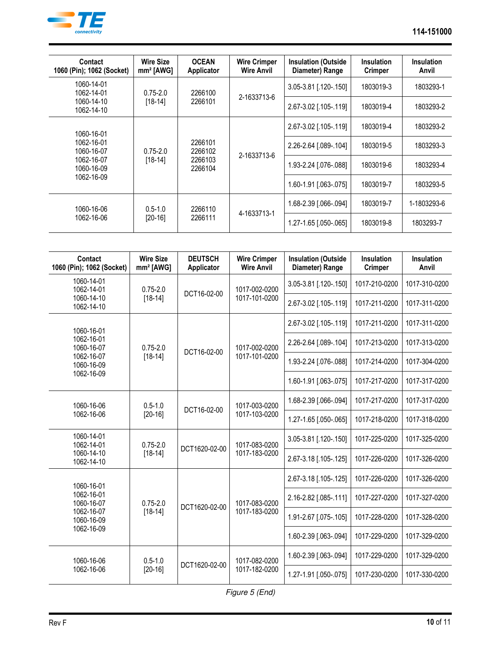

| Contact<br>1060 (Pin); 1062 (Socket)                                             | <b>Wire Size</b><br>$mm2$ [AWG] | <b>OCEAN</b><br>Applicator               | <b>Wire Crimper</b><br><b>Wire Anvil</b> | <b>Insulation (Outside</b><br>Diameter) Range | <b>Insulation</b><br><b>Crimper</b> | <b>Insulation</b><br>Anvil |
|----------------------------------------------------------------------------------|---------------------------------|------------------------------------------|------------------------------------------|-----------------------------------------------|-------------------------------------|----------------------------|
| 1060-14-01<br>1062-14-01                                                         | $0.75 - 2.0$                    | 2266100                                  | 2-1633713-6                              | 3.05-3.81 [.120-.150]                         | 1803019-3                           | 1803293-1                  |
| 1060-14-10<br>1062-14-10                                                         | $[18-14]$                       | 2266101                                  |                                          | 2.67-3.02 [.105-.119]                         | 1803019-4                           | 1803293-2                  |
| 1060-16-01<br>1062-16-01<br>1060-16-07<br>1062-16-07<br>1060-16-09<br>1062-16-09 | $0.75 - 2.0$                    |                                          | 2-1633713-6                              | 2.67-3.02 [.105-.119]                         | 1803019-4                           | 1803293-2                  |
|                                                                                  |                                 | 2266101<br>2266102<br>2266103<br>2266104 |                                          | 2.26-2.64 [.089-.104]                         | 1803019-5                           | 1803293-3                  |
|                                                                                  | $[18-14]$                       |                                          |                                          | 1.93-2.24 [.076-.088]                         | 1803019-6                           | 1803293-4                  |
|                                                                                  |                                 |                                          |                                          | 1.60-1.91 [.063-.075]                         | 1803019-7                           | 1803293-5                  |
| 1060-16-06<br>1062-16-06                                                         | $0.5 - 1.0$<br>$[20-16]$        | 2266110                                  | 4-1633713-1                              | 1.68-2.39 [.066-.094]                         | 1803019-7                           | 1-1803293-6                |
|                                                                                  |                                 | 2266111                                  |                                          | 1.27-1.65 [.050-.065]                         | 1803019-8                           | 1803293-7                  |

| Contact<br>1060 (Pin); 1062 (Socket)                               | <b>Wire Size</b><br>mm <sup>2</sup> [AWG] | <b>DEUTSCH</b><br>Applicator | <b>Wire Crimper</b><br><b>Wire Anvil</b> | <b>Insulation (Outside</b><br>Diameter) Range | Insulation<br><b>Crimper</b> | <b>Insulation</b><br>Anvil |
|--------------------------------------------------------------------|-------------------------------------------|------------------------------|------------------------------------------|-----------------------------------------------|------------------------------|----------------------------|
| 1060-14-01<br>1062-14-01                                           | $0.75 - 2.0$                              | DCT16-02-00                  | 1017-002-0200<br>1017-101-0200           | 3.05-3.81 [.120-.150]                         | 1017-210-0200                | 1017-310-0200              |
| 1060-14-10<br>1062-14-10                                           | $[18 - 14]$                               |                              |                                          | 2.67-3.02 [.105-.119]                         | 1017-211-0200                | 1017-311-0200              |
| 1060-16-01                                                         |                                           | DCT16-02-00                  | 1017-002-0200<br>1017-101-0200           | 2.67-3.02 [.105-.119]                         | 1017-211-0200                | 1017-311-0200              |
| 1062-16-01<br>1060-16-07                                           | $0.75 - 2.0$                              |                              |                                          | 2.26-2.64 [.089-.104]                         | 1017-213-0200                | 1017-313-0200              |
| 1062-16-07<br>1060-16-09                                           | $[18 - 14]$                               |                              |                                          | 1.93-2.24 [.076-.088]                         | 1017-214-0200                | 1017-304-0200              |
| 1062-16-09                                                         |                                           |                              |                                          | 1.60-1.91 [.063-.075]                         | 1017-217-0200                | 1017-317-0200              |
| 1060-16-06                                                         | $0.5 - 1.0$<br>$[20-16]$                  | DCT16-02-00                  | 1017-003-0200<br>1017-103-0200           | 1.68-2.39 [.066-.094]                         | 1017-217-0200                | 1017-317-0200              |
| 1062-16-06                                                         |                                           |                              |                                          | 1.27-1.65 [.050-.065]                         | 1017-218-0200                | 1017-318-0200              |
| 1060-14-01<br>1062-14-01                                           | $0.75 - 2.0$                              | DCT1620-02-00                | 1017-083-0200<br>1017-183-0200           | 3.05-3.81 [.120-.150]                         | 1017-225-0200                | 1017-325-0200              |
| 1060-14-10<br>1062-14-10                                           | $[18-14]$                                 |                              |                                          | 2.67-3.18 [.105-.125]                         | 1017-226-0200                | 1017-326-0200              |
| 1060-16-01                                                         | $0.75 - 2.0$<br>$[18-14]$                 | DCT1620-02-00                | 1017-083-0200<br>1017-183-0200           | 2.67-3.18 [.105-.125]                         | 1017-226-0200                | 1017-326-0200              |
| 1062-16-01<br>1060-16-07<br>1062-16-07<br>1060-16-09<br>1062-16-09 |                                           |                              |                                          | 2.16-2.82 [.085-.111]                         | 1017-227-0200                | 1017-327-0200              |
|                                                                    |                                           |                              |                                          | 1.91-2.67 [.075-.105]                         | 1017-228-0200                | 1017-328-0200              |
|                                                                    |                                           |                              |                                          | 1.60-2.39 [.063-.094]                         | 1017-229-0200                | 1017-329-0200              |
| 1060-16-06<br>1062-16-06                                           | $0.5 - 1.0$<br>$[20-16]$                  | DCT1620-02-00                | 1017-082-0200<br>1017-182-0200           | 1.60-2.39 [.063-.094]                         | 1017-229-0200                | 1017-329-0200              |
|                                                                    |                                           |                              |                                          | 1.27-1.91 [.050-.075]                         | 1017-230-0200                | 1017-330-0200              |

*[Figure 5](#page-8-0) (End)*